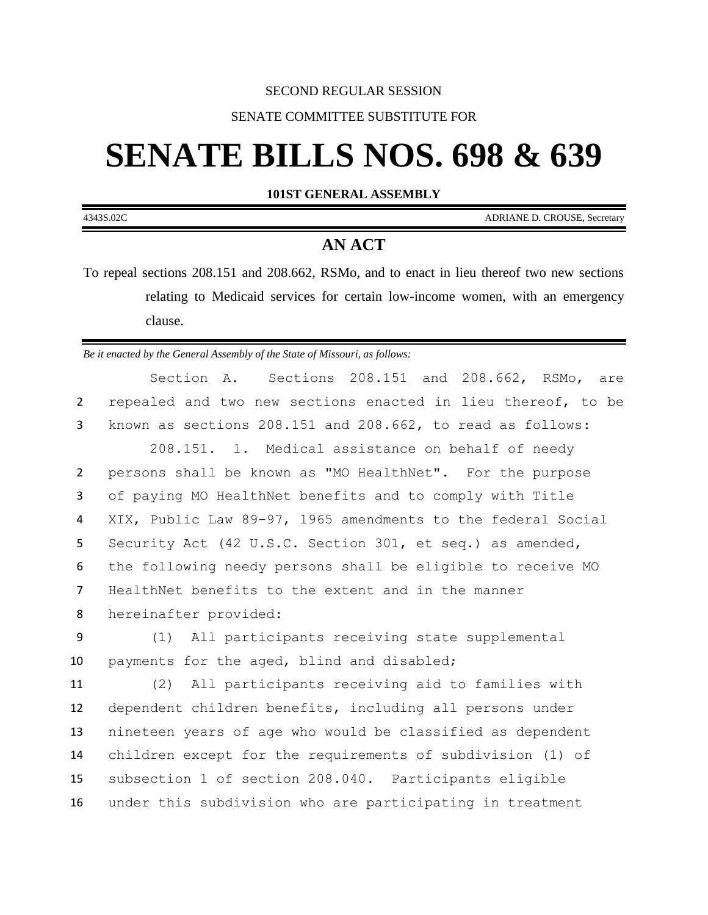## SECOND REGULAR SESSION

## SENATE COMMITTEE SUBSTITUTE FOR

# **SENATE BILLS NOS. 698 & 639**

**101ST GENERAL ASSEMBLY**

4343S.02C ADRIANE D. CROUSE, Secretary

## **AN ACT**

To repeal sections 208.151 and 208.662, RSMo, and to enact in lieu thereof two new sections relating to Medicaid services for certain low-income women, with an emergency clause.

*Be it enacted by the General Assembly of the State of Missouri, as follows:*

|                | Sections 208.151 and 208.662, RSMo, are<br>Section A.        |
|----------------|--------------------------------------------------------------|
| $\overline{2}$ | repealed and two new sections enacted in lieu thereof, to be |
| 3              | known as sections 208.151 and 208.662, to read as follows:   |
|                | 208.151. 1. Medical assistance on behalf of needy            |
| $\overline{2}$ | persons shall be known as "MO HealthNet". For the purpose    |
| 3              | of paying MO HealthNet benefits and to comply with Title     |
| 4              | XIX, Public Law 89-97, 1965 amendments to the federal Social |
| 5              | Security Act (42 U.S.C. Section 301, et seq.) as amended,    |
| 6              | the following needy persons shall be eligible to receive MO  |
| $\overline{7}$ | HealthNet benefits to the extent and in the manner           |
| 8              | hereinafter provided:                                        |
| 9              | (1) All participants receiving state supplemental            |
| 10             | payments for the aged, blind and disabled;                   |
| 11             | (2) All participants receiving aid to families with          |
| 12             | dependent children benefits, including all persons under     |
| 13             | nineteen years of age who would be classified as dependent   |
| 14             | children except for the requirements of subdivision (1) of   |
| 15             | subsection 1 of section 208.040. Participants eligible       |
| 16             | under this subdivision who are participating in treatment    |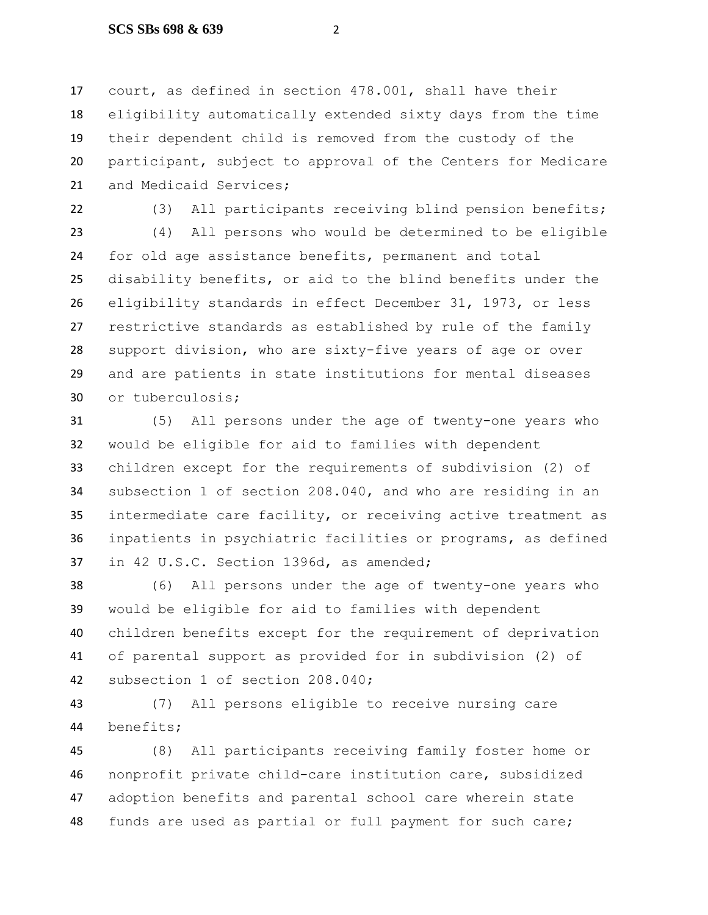court, as defined in section 478.001, shall have their eligibility automatically extended sixty days from the time their dependent child is removed from the custody of the participant, subject to approval of the Centers for Medicare and Medicaid Services;

(3) All participants receiving blind pension benefits;

 (4) All persons who would be determined to be eligible for old age assistance benefits, permanent and total disability benefits, or aid to the blind benefits under the eligibility standards in effect December 31, 1973, or less restrictive standards as established by rule of the family support division, who are sixty-five years of age or over and are patients in state institutions for mental diseases or tuberculosis;

 (5) All persons under the age of twenty-one years who would be eligible for aid to families with dependent children except for the requirements of subdivision (2) of subsection 1 of section 208.040, and who are residing in an intermediate care facility, or receiving active treatment as inpatients in psychiatric facilities or programs, as defined in 42 U.S.C. Section 1396d, as amended;

 (6) All persons under the age of twenty-one years who would be eligible for aid to families with dependent children benefits except for the requirement of deprivation of parental support as provided for in subdivision (2) of subsection 1 of section 208.040;

 (7) All persons eligible to receive nursing care benefits;

 (8) All participants receiving family foster home or nonprofit private child-care institution care, subsidized adoption benefits and parental school care wherein state funds are used as partial or full payment for such care;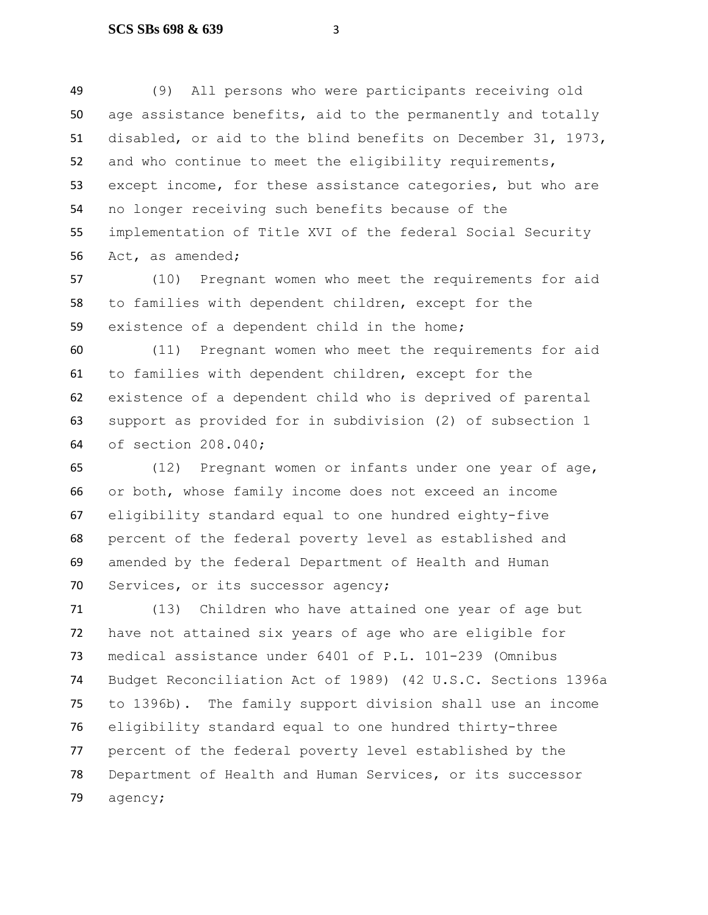(9) All persons who were participants receiving old age assistance benefits, aid to the permanently and totally disabled, or aid to the blind benefits on December 31, 1973, and who continue to meet the eligibility requirements, except income, for these assistance categories, but who are no longer receiving such benefits because of the implementation of Title XVI of the federal Social Security Act, as amended;

 (10) Pregnant women who meet the requirements for aid to families with dependent children, except for the existence of a dependent child in the home;

 (11) Pregnant women who meet the requirements for aid to families with dependent children, except for the existence of a dependent child who is deprived of parental support as provided for in subdivision (2) of subsection 1 of section 208.040;

 (12) Pregnant women or infants under one year of age, or both, whose family income does not exceed an income eligibility standard equal to one hundred eighty-five percent of the federal poverty level as established and amended by the federal Department of Health and Human 70 Services, or its successor agency;

 (13) Children who have attained one year of age but have not attained six years of age who are eligible for medical assistance under 6401 of P.L. 101-239 (Omnibus Budget Reconciliation Act of 1989) (42 U.S.C. Sections 1396a to 1396b). The family support division shall use an income eligibility standard equal to one hundred thirty-three percent of the federal poverty level established by the Department of Health and Human Services, or its successor agency;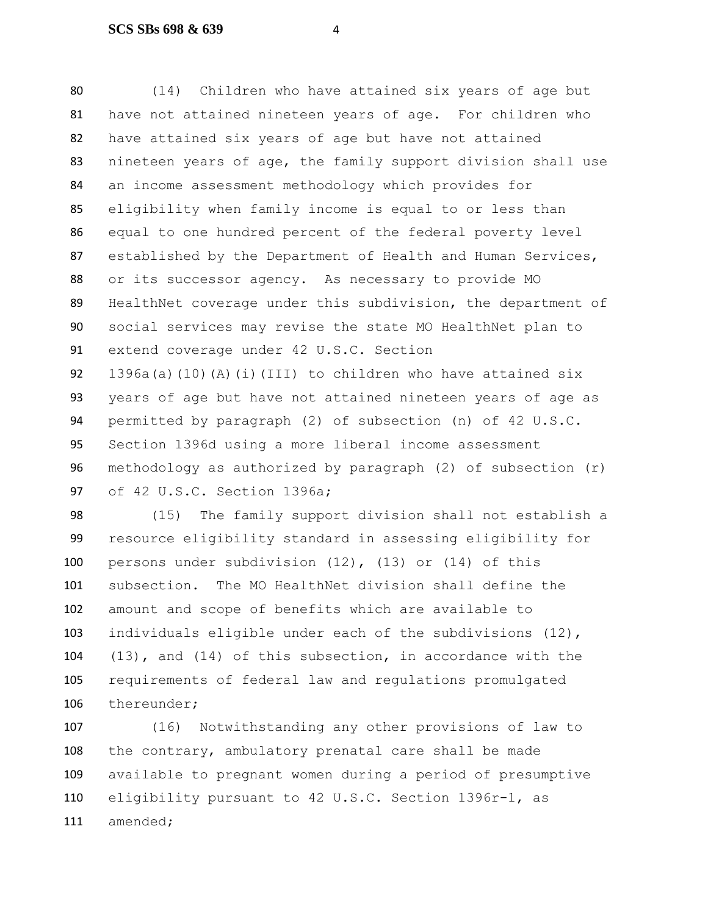(14) Children who have attained six years of age but have not attained nineteen years of age. For children who have attained six years of age but have not attained nineteen years of age, the family support division shall use an income assessment methodology which provides for eligibility when family income is equal to or less than equal to one hundred percent of the federal poverty level established by the Department of Health and Human Services, or its successor agency. As necessary to provide MO HealthNet coverage under this subdivision, the department of social services may revise the state MO HealthNet plan to extend coverage under 42 U.S.C. Section 92 1396a(a)(10)(A)(i)(III) to children who have attained  $six$  years of age but have not attained nineteen years of age as permitted by paragraph (2) of subsection (n) of 42 U.S.C. Section 1396d using a more liberal income assessment methodology as authorized by paragraph (2) of subsection (r) of 42 U.S.C. Section 1396a;

 (15) The family support division shall not establish a resource eligibility standard in assessing eligibility for persons under subdivision (12), (13) or (14) of this subsection. The MO HealthNet division shall define the amount and scope of benefits which are available to individuals eligible under each of the subdivisions (12), (13), and (14) of this subsection, in accordance with the requirements of federal law and regulations promulgated thereunder;

 (16) Notwithstanding any other provisions of law to the contrary, ambulatory prenatal care shall be made available to pregnant women during a period of presumptive eligibility pursuant to 42 U.S.C. Section 1396r-1, as amended;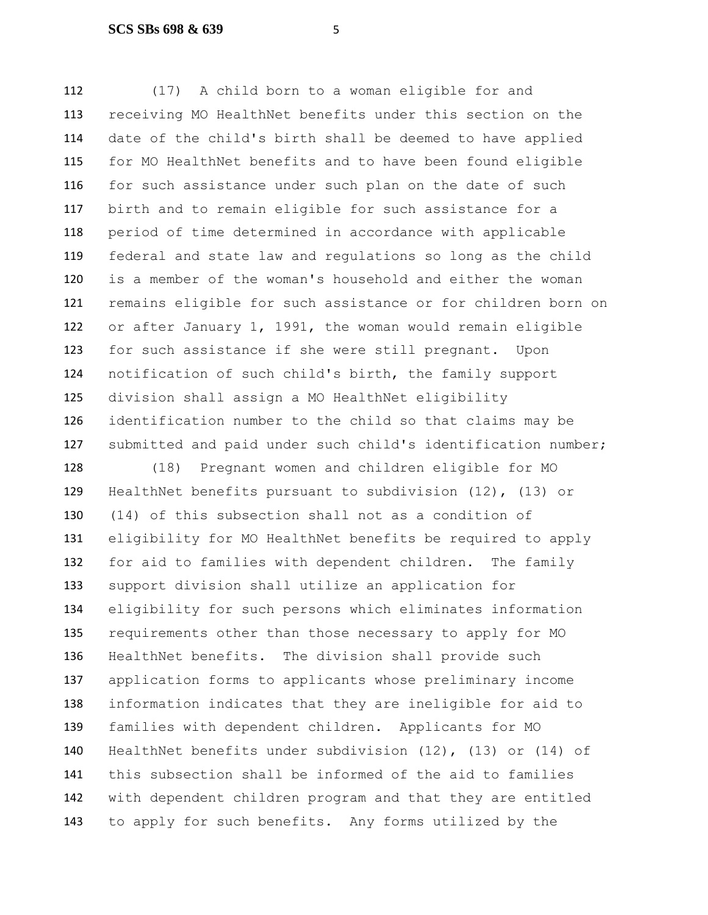(17) A child born to a woman eligible for and receiving MO HealthNet benefits under this section on the date of the child's birth shall be deemed to have applied for MO HealthNet benefits and to have been found eligible for such assistance under such plan on the date of such birth and to remain eligible for such assistance for a period of time determined in accordance with applicable federal and state law and regulations so long as the child is a member of the woman's household and either the woman remains eligible for such assistance or for children born on or after January 1, 1991, the woman would remain eligible for such assistance if she were still pregnant. Upon notification of such child's birth, the family support division shall assign a MO HealthNet eligibility identification number to the child so that claims may be submitted and paid under such child's identification number;

 (18) Pregnant women and children eligible for MO HealthNet benefits pursuant to subdivision (12), (13) or (14) of this subsection shall not as a condition of eligibility for MO HealthNet benefits be required to apply for aid to families with dependent children. The family support division shall utilize an application for eligibility for such persons which eliminates information requirements other than those necessary to apply for MO HealthNet benefits. The division shall provide such application forms to applicants whose preliminary income information indicates that they are ineligible for aid to families with dependent children. Applicants for MO HealthNet benefits under subdivision (12), (13) or (14) of this subsection shall be informed of the aid to families with dependent children program and that they are entitled to apply for such benefits. Any forms utilized by the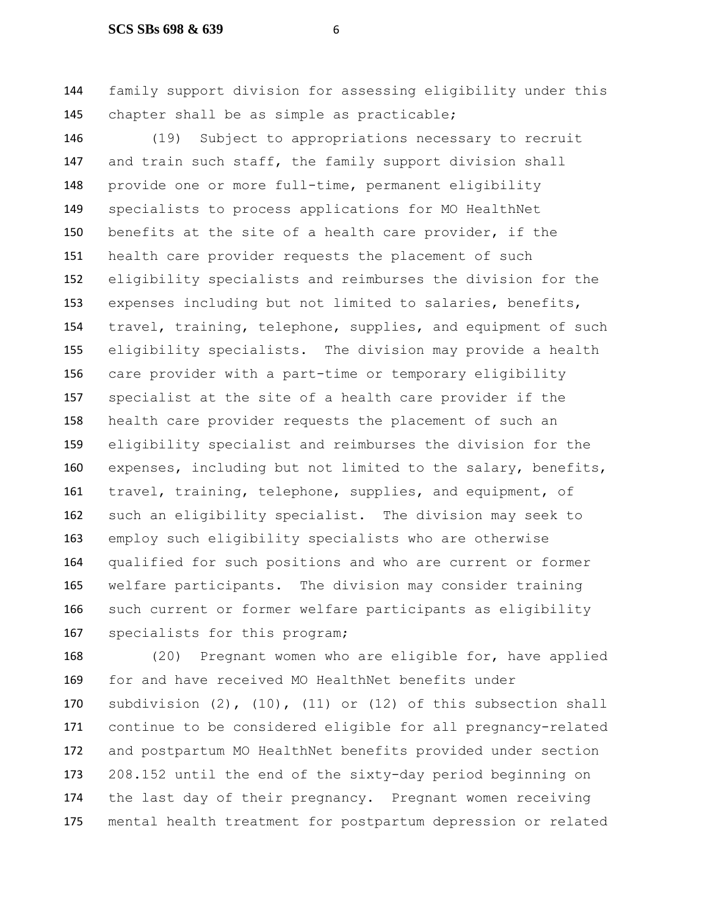family support division for assessing eligibility under this chapter shall be as simple as practicable;

 (19) Subject to appropriations necessary to recruit 147 and train such staff, the family support division shall provide one or more full-time, permanent eligibility specialists to process applications for MO HealthNet benefits at the site of a health care provider, if the health care provider requests the placement of such eligibility specialists and reimburses the division for the expenses including but not limited to salaries, benefits, travel, training, telephone, supplies, and equipment of such eligibility specialists. The division may provide a health care provider with a part-time or temporary eligibility specialist at the site of a health care provider if the health care provider requests the placement of such an eligibility specialist and reimburses the division for the expenses, including but not limited to the salary, benefits, travel, training, telephone, supplies, and equipment, of such an eligibility specialist. The division may seek to employ such eligibility specialists who are otherwise qualified for such positions and who are current or former welfare participants. The division may consider training such current or former welfare participants as eligibility specialists for this program;

 (20) Pregnant women who are eligible for, have applied for and have received MO HealthNet benefits under subdivision (2), (10), (11) or (12) of this subsection shall continue to be considered eligible for all pregnancy-related and postpartum MO HealthNet benefits provided under section 208.152 until the end of the sixty-day period beginning on the last day of their pregnancy. Pregnant women receiving mental health treatment for postpartum depression or related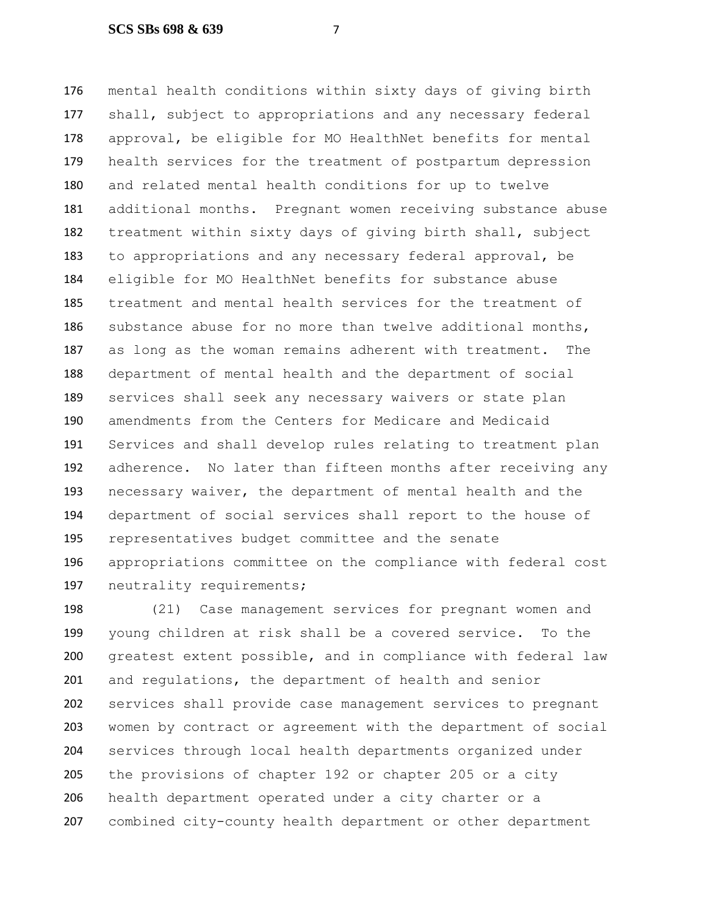mental health conditions within sixty days of giving birth shall, subject to appropriations and any necessary federal approval, be eligible for MO HealthNet benefits for mental health services for the treatment of postpartum depression and related mental health conditions for up to twelve additional months. Pregnant women receiving substance abuse treatment within sixty days of giving birth shall, subject to appropriations and any necessary federal approval, be eligible for MO HealthNet benefits for substance abuse treatment and mental health services for the treatment of substance abuse for no more than twelve additional months, as long as the woman remains adherent with treatment. The department of mental health and the department of social services shall seek any necessary waivers or state plan amendments from the Centers for Medicare and Medicaid Services and shall develop rules relating to treatment plan adherence. No later than fifteen months after receiving any necessary waiver, the department of mental health and the department of social services shall report to the house of representatives budget committee and the senate appropriations committee on the compliance with federal cost 197 neutrality requirements;

 (21) Case management services for pregnant women and young children at risk shall be a covered service. To the greatest extent possible, and in compliance with federal law and regulations, the department of health and senior services shall provide case management services to pregnant women by contract or agreement with the department of social services through local health departments organized under the provisions of chapter 192 or chapter 205 or a city health department operated under a city charter or a combined city-county health department or other department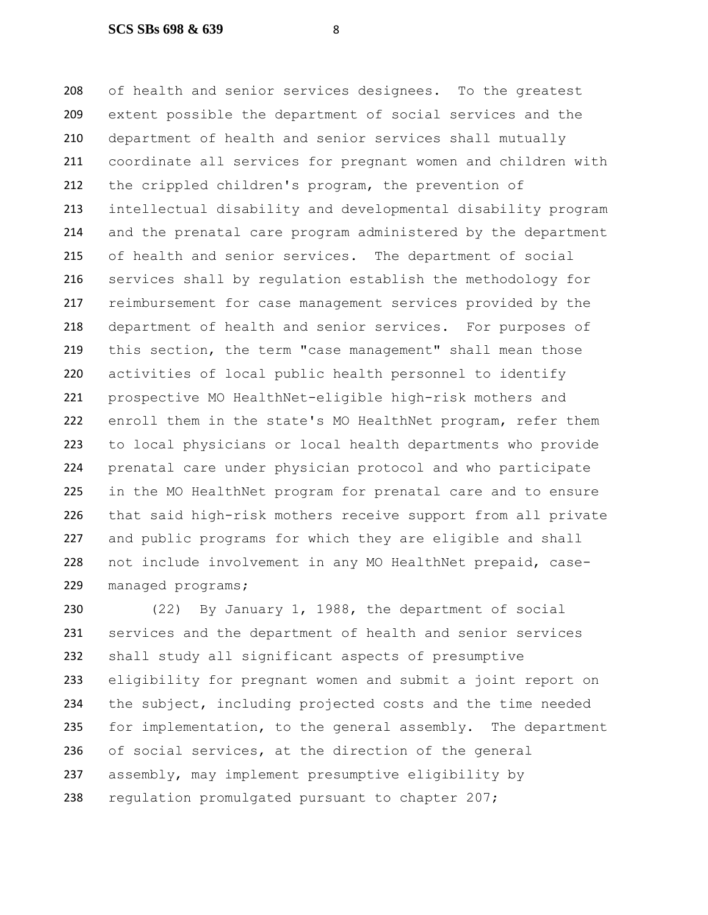of health and senior services designees. To the greatest extent possible the department of social services and the department of health and senior services shall mutually coordinate all services for pregnant women and children with the crippled children's program, the prevention of intellectual disability and developmental disability program and the prenatal care program administered by the department of health and senior services. The department of social services shall by regulation establish the methodology for reimbursement for case management services provided by the department of health and senior services. For purposes of this section, the term "case management" shall mean those activities of local public health personnel to identify prospective MO HealthNet-eligible high-risk mothers and enroll them in the state's MO HealthNet program, refer them to local physicians or local health departments who provide prenatal care under physician protocol and who participate in the MO HealthNet program for prenatal care and to ensure that said high-risk mothers receive support from all private and public programs for which they are eligible and shall not include involvement in any MO HealthNet prepaid, case-managed programs;

 (22) By January 1, 1988, the department of social services and the department of health and senior services shall study all significant aspects of presumptive eligibility for pregnant women and submit a joint report on the subject, including projected costs and the time needed for implementation, to the general assembly. The department of social services, at the direction of the general assembly, may implement presumptive eligibility by regulation promulgated pursuant to chapter 207;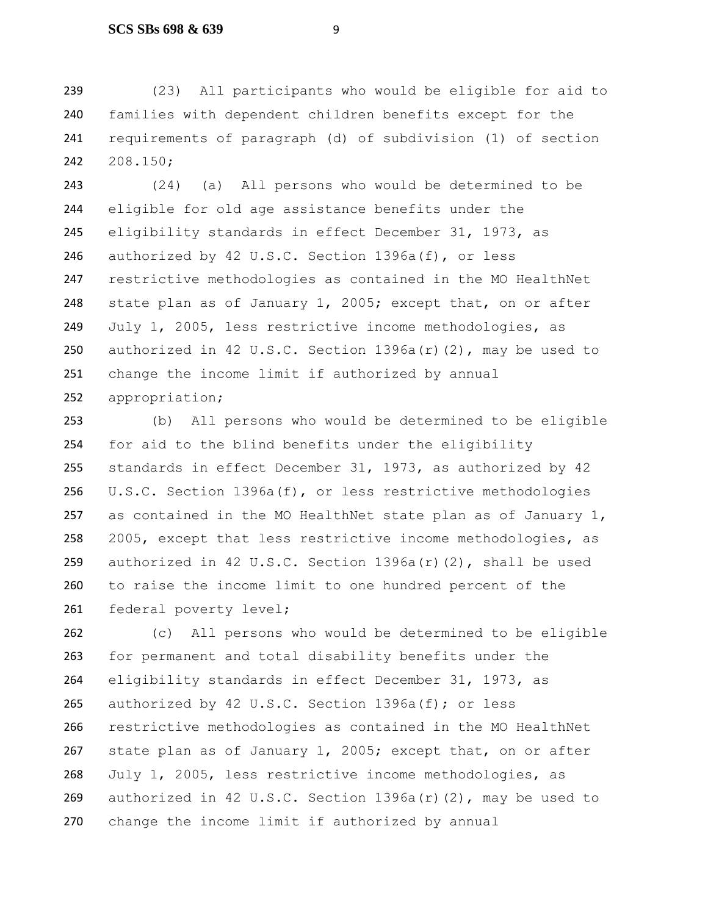(23) All participants who would be eligible for aid to families with dependent children benefits except for the requirements of paragraph (d) of subdivision (1) of section 208.150;

 (24) (a) All persons who would be determined to be eligible for old age assistance benefits under the eligibility standards in effect December 31, 1973, as authorized by 42 U.S.C. Section 1396a(f), or less restrictive methodologies as contained in the MO HealthNet 248 state plan as of January 1, 2005; except that, on or after July 1, 2005, less restrictive income methodologies, as authorized in 42 U.S.C. Section 1396a(r)(2), may be used to change the income limit if authorized by annual appropriation;

 (b) All persons who would be determined to be eligible for aid to the blind benefits under the eligibility standards in effect December 31, 1973, as authorized by 42 U.S.C. Section 1396a(f), or less restrictive methodologies as contained in the MO HealthNet state plan as of January 1, 2005, except that less restrictive income methodologies, as authorized in 42 U.S.C. Section 1396a(r)(2), shall be used to raise the income limit to one hundred percent of the 261 federal poverty level;

 (c) All persons who would be determined to be eligible for permanent and total disability benefits under the eligibility standards in effect December 31, 1973, as authorized by 42 U.S.C. Section 1396a(f); or less restrictive methodologies as contained in the MO HealthNet 267 state plan as of January 1, 2005; except that, on or after July 1, 2005, less restrictive income methodologies, as authorized in 42 U.S.C. Section 1396a(r)(2), may be used to change the income limit if authorized by annual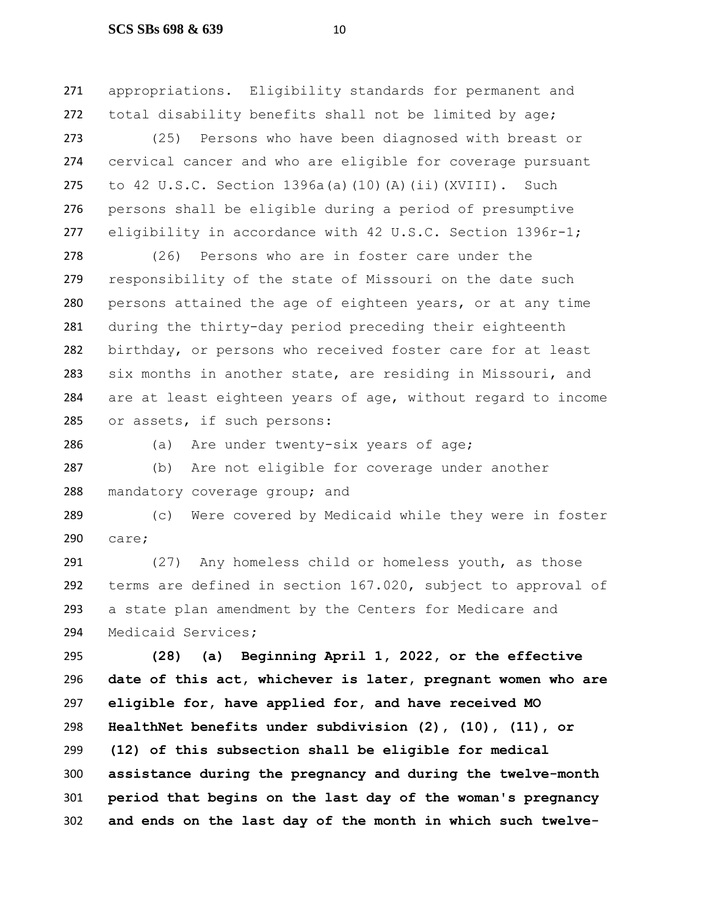#### **SCS SBs 698 & 639** 10

 appropriations. Eligibility standards for permanent and 272 total disability benefits shall not be limited by age;

 (25) Persons who have been diagnosed with breast or cervical cancer and who are eligible for coverage pursuant to 42 U.S.C. Section 1396a(a)(10)(A)(ii)(XVIII). Such persons shall be eligible during a period of presumptive 277 eligibility in accordance with 42 U.S.C. Section 1396r-1;

 (26) Persons who are in foster care under the responsibility of the state of Missouri on the date such persons attained the age of eighteen years, or at any time during the thirty-day period preceding their eighteenth birthday, or persons who received foster care for at least six months in another state, are residing in Missouri, and are at least eighteen years of age, without regard to income or assets, if such persons:

(a) Are under twenty-six years of age;

 (b) Are not eligible for coverage under another 288 mandatory coverage group; and

 (c) Were covered by Medicaid while they were in foster care;

 (27) Any homeless child or homeless youth, as those terms are defined in section 167.020, subject to approval of a state plan amendment by the Centers for Medicare and Medicaid Services**;**

 **(28) (a) Beginning April 1, 2022, or the effective date of this act, whichever is later, pregnant women who are eligible for, have applied for, and have received MO HealthNet benefits under subdivision (2), (10), (11), or (12) of this subsection shall be eligible for medical assistance during the pregnancy and during the twelve-month period that begins on the last day of the woman's pregnancy and ends on the last day of the month in which such twelve-**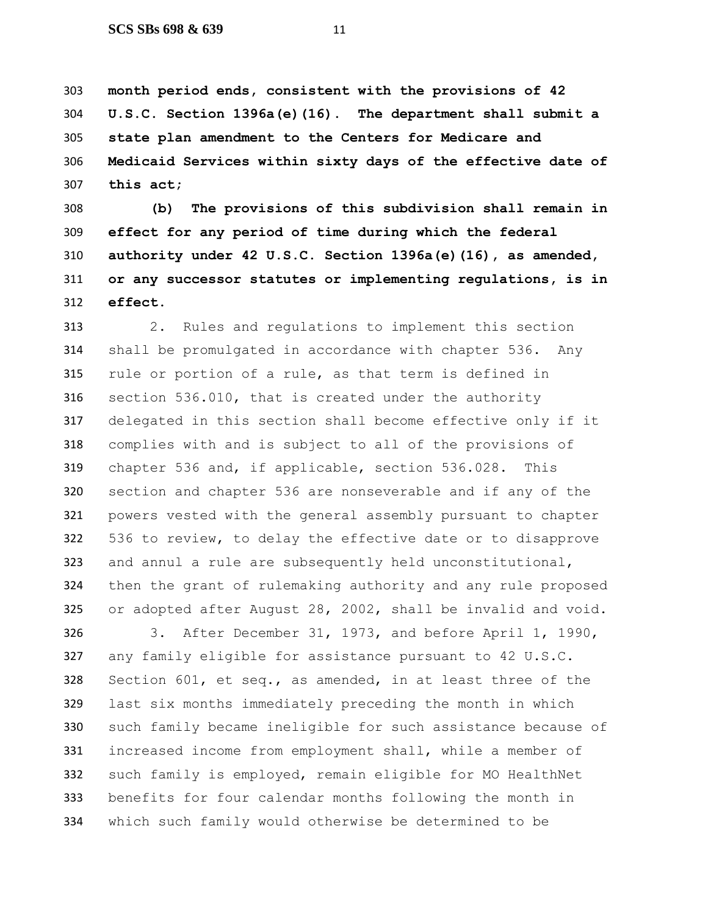**month period ends, consistent with the provisions of 42 U.S.C. Section 1396a(e)(16). The department shall submit a state plan amendment to the Centers for Medicare and Medicaid Services within sixty days of the effective date of this act;**

 **(b) The provisions of this subdivision shall remain in effect for any period of time during which the federal authority under 42 U.S.C. Section 1396a(e)(16), as amended, or any successor statutes or implementing regulations, is in effect**.

 2. Rules and regulations to implement this section shall be promulgated in accordance with chapter 536. Any rule or portion of a rule, as that term is defined in section 536.010, that is created under the authority delegated in this section shall become effective only if it complies with and is subject to all of the provisions of chapter 536 and, if applicable, section 536.028. This section and chapter 536 are nonseverable and if any of the powers vested with the general assembly pursuant to chapter 536 to review, to delay the effective date or to disapprove and annul a rule are subsequently held unconstitutional, then the grant of rulemaking authority and any rule proposed or adopted after August 28, 2002, shall be invalid and void.

 3. After December 31, 1973, and before April 1, 1990, any family eligible for assistance pursuant to 42 U.S.C. Section 601, et seq., as amended, in at least three of the last six months immediately preceding the month in which such family became ineligible for such assistance because of increased income from employment shall, while a member of such family is employed, remain eligible for MO HealthNet benefits for four calendar months following the month in which such family would otherwise be determined to be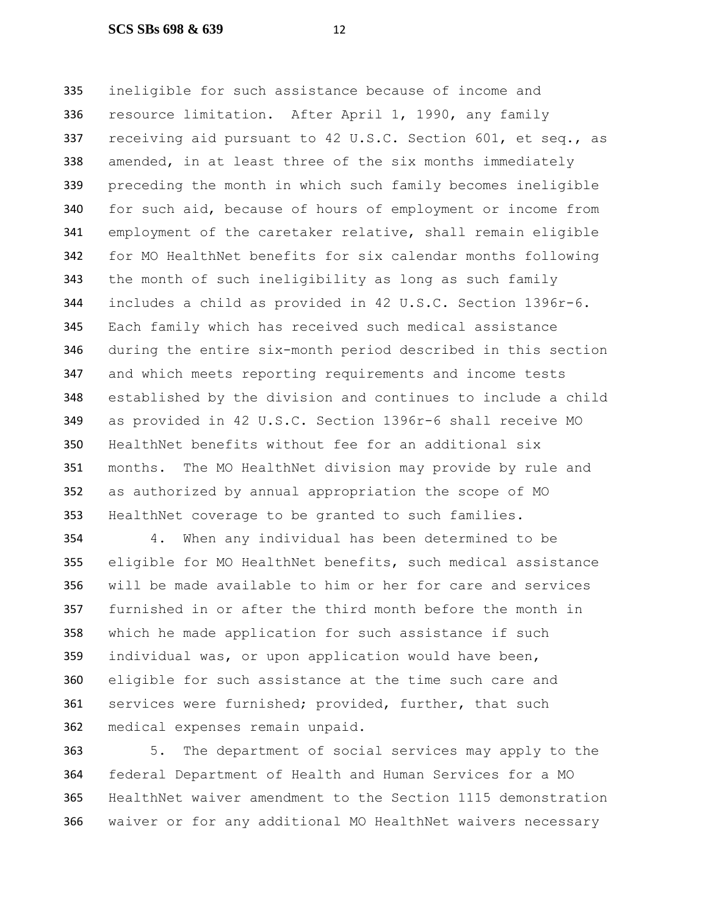ineligible for such assistance because of income and resource limitation. After April 1, 1990, any family receiving aid pursuant to 42 U.S.C. Section 601, et seq., as amended, in at least three of the six months immediately preceding the month in which such family becomes ineligible for such aid, because of hours of employment or income from employment of the caretaker relative, shall remain eligible for MO HealthNet benefits for six calendar months following the month of such ineligibility as long as such family includes a child as provided in 42 U.S.C. Section 1396r-6. Each family which has received such medical assistance during the entire six-month period described in this section and which meets reporting requirements and income tests established by the division and continues to include a child as provided in 42 U.S.C. Section 1396r-6 shall receive MO HealthNet benefits without fee for an additional six months. The MO HealthNet division may provide by rule and as authorized by annual appropriation the scope of MO HealthNet coverage to be granted to such families.

 4. When any individual has been determined to be eligible for MO HealthNet benefits, such medical assistance will be made available to him or her for care and services furnished in or after the third month before the month in which he made application for such assistance if such individual was, or upon application would have been, eligible for such assistance at the time such care and services were furnished; provided, further, that such medical expenses remain unpaid.

 5. The department of social services may apply to the federal Department of Health and Human Services for a MO HealthNet waiver amendment to the Section 1115 demonstration waiver or for any additional MO HealthNet waivers necessary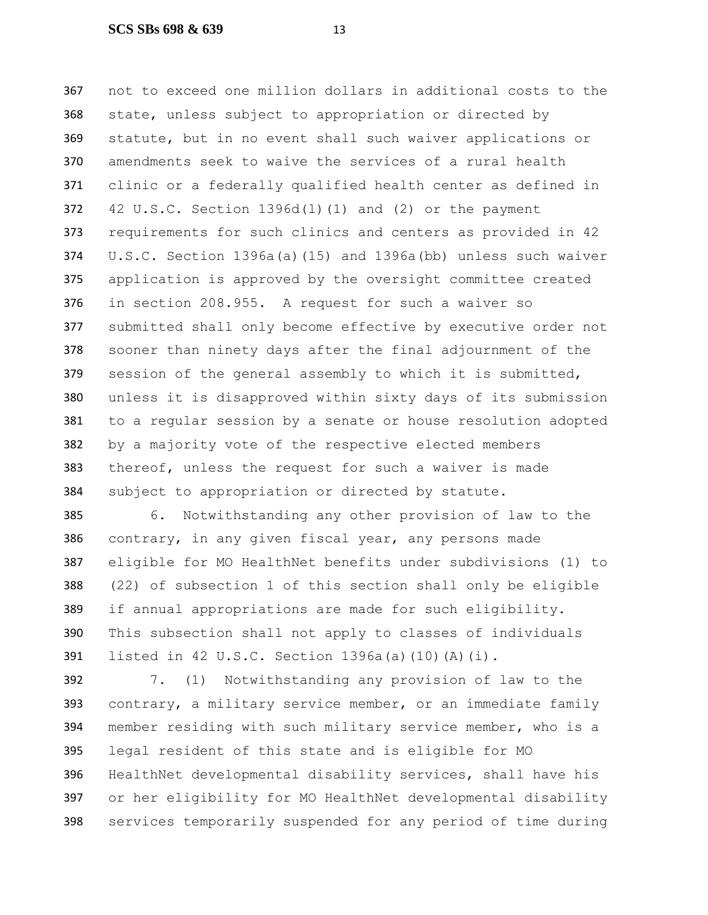not to exceed one million dollars in additional costs to the state, unless subject to appropriation or directed by statute, but in no event shall such waiver applications or amendments seek to waive the services of a rural health clinic or a federally qualified health center as defined in 42 U.S.C. Section 1396d(l)(1) and (2) or the payment requirements for such clinics and centers as provided in 42 U.S.C. Section 1396a(a)(15) and 1396a(bb) unless such waiver application is approved by the oversight committee created in section 208.955. A request for such a waiver so submitted shall only become effective by executive order not sooner than ninety days after the final adjournment of the session of the general assembly to which it is submitted, unless it is disapproved within sixty days of its submission to a regular session by a senate or house resolution adopted by a majority vote of the respective elected members thereof, unless the request for such a waiver is made subject to appropriation or directed by statute.

 6. Notwithstanding any other provision of law to the contrary, in any given fiscal year, any persons made eligible for MO HealthNet benefits under subdivisions (1) to (22) of subsection 1 of this section shall only be eligible if annual appropriations are made for such eligibility. This subsection shall not apply to classes of individuals listed in 42 U.S.C. Section 1396a(a)(10)(A)(i).

 7. (1) Notwithstanding any provision of law to the contrary, a military service member, or an immediate family member residing with such military service member, who is a legal resident of this state and is eligible for MO HealthNet developmental disability services, shall have his or her eligibility for MO HealthNet developmental disability services temporarily suspended for any period of time during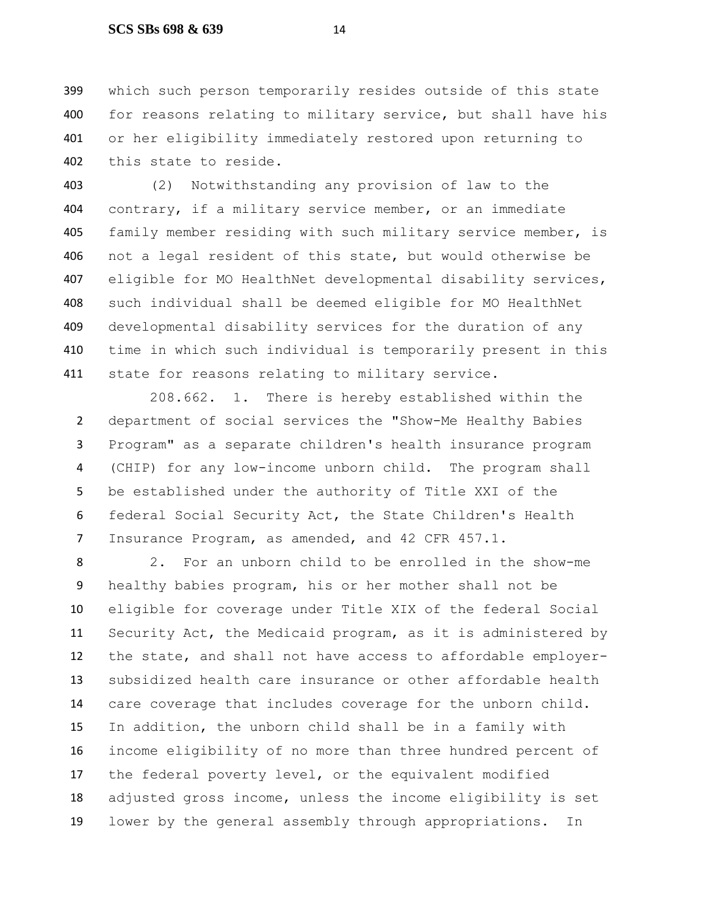## **SCS SBs 698 & 639** 14

 which such person temporarily resides outside of this state 400 for reasons relating to military service, but shall have his or her eligibility immediately restored upon returning to this state to reside.

 (2) Notwithstanding any provision of law to the contrary, if a military service member, or an immediate family member residing with such military service member, is not a legal resident of this state, but would otherwise be eligible for MO HealthNet developmental disability services, such individual shall be deemed eligible for MO HealthNet developmental disability services for the duration of any time in which such individual is temporarily present in this 411 state for reasons relating to military service.

208.662. 1. There is hereby established within the department of social services the "Show-Me Healthy Babies Program" as a separate children's health insurance program (CHIP) for any low-income unborn child. The program shall be established under the authority of Title XXI of the federal Social Security Act, the State Children's Health Insurance Program, as amended, and 42 CFR 457.1.

 2. For an unborn child to be enrolled in the show-me healthy babies program, his or her mother shall not be eligible for coverage under Title XIX of the federal Social Security Act, the Medicaid program, as it is administered by the state, and shall not have access to affordable employer- subsidized health care insurance or other affordable health care coverage that includes coverage for the unborn child. In addition, the unborn child shall be in a family with income eligibility of no more than three hundred percent of the federal poverty level, or the equivalent modified adjusted gross income, unless the income eligibility is set lower by the general assembly through appropriations. In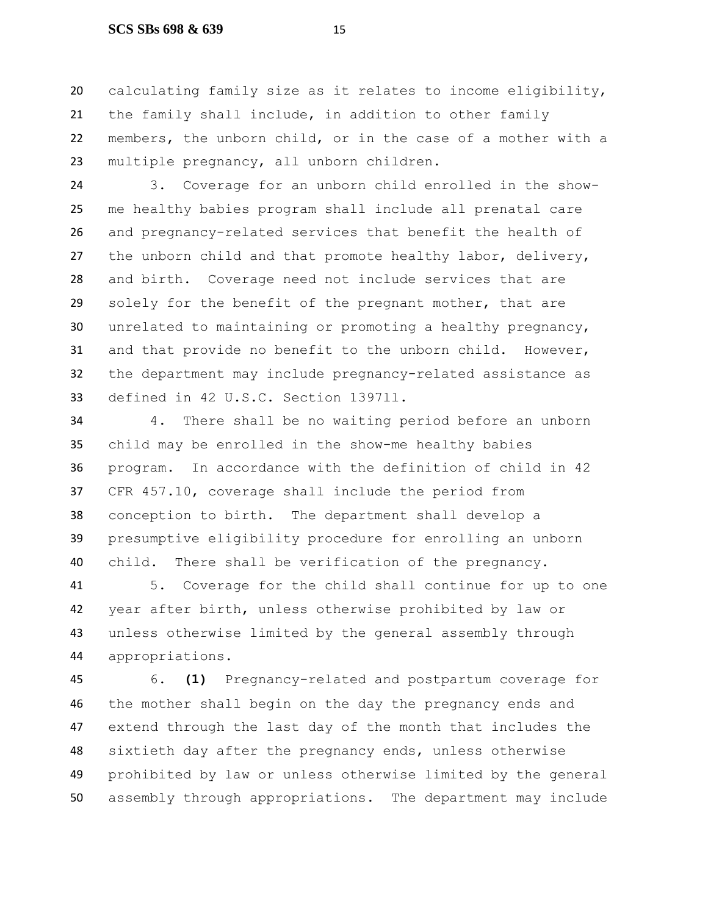## **SCS SBs 698 & 639** 15

 calculating family size as it relates to income eligibility, the family shall include, in addition to other family members, the unborn child, or in the case of a mother with a multiple pregnancy, all unborn children.

 3. Coverage for an unborn child enrolled in the show- me healthy babies program shall include all prenatal care and pregnancy-related services that benefit the health of the unborn child and that promote healthy labor, delivery, and birth. Coverage need not include services that are solely for the benefit of the pregnant mother, that are unrelated to maintaining or promoting a healthy pregnancy, and that provide no benefit to the unborn child. However, the department may include pregnancy-related assistance as defined in 42 U.S.C. Section 1397ll.

 4. There shall be no waiting period before an unborn child may be enrolled in the show-me healthy babies program. In accordance with the definition of child in 42 CFR 457.10, coverage shall include the period from conception to birth. The department shall develop a presumptive eligibility procedure for enrolling an unborn child. There shall be verification of the pregnancy.

 5. Coverage for the child shall continue for up to one year after birth, unless otherwise prohibited by law or unless otherwise limited by the general assembly through appropriations.

 6. **(1)** Pregnancy-related and postpartum coverage for the mother shall begin on the day the pregnancy ends and extend through the last day of the month that includes the sixtieth day after the pregnancy ends, unless otherwise prohibited by law or unless otherwise limited by the general assembly through appropriations. The department may include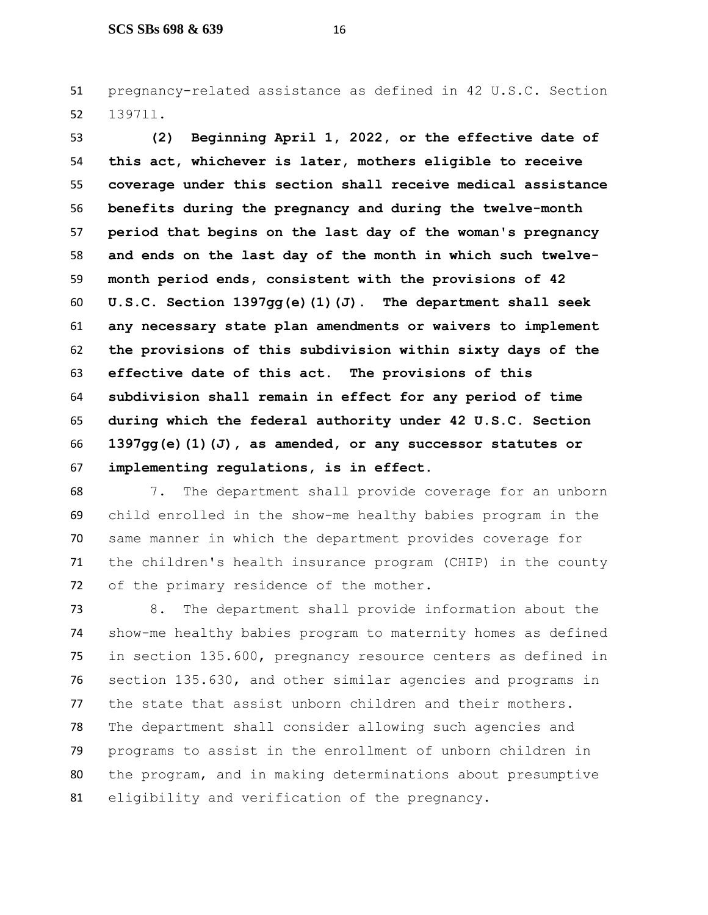pregnancy-related assistance as defined in 42 U.S.C. Section 1397ll.

 **(2) Beginning April 1, 2022, or the effective date of this act, whichever is later, mothers eligible to receive coverage under this section shall receive medical assistance benefits during the pregnancy and during the twelve-month period that begins on the last day of the woman's pregnancy and ends on the last day of the month in which such twelve- month period ends, consistent with the provisions of 42 U.S.C. Section 1397gg(e)(1)(J). The department shall seek any necessary state plan amendments or waivers to implement the provisions of this subdivision within sixty days of the effective date of this act. The provisions of this subdivision shall remain in effect for any period of time during which the federal authority under 42 U.S.C. Section 1397gg(e)(1)(J), as amended, or any successor statutes or implementing regulations, is in effect.**

 7. The department shall provide coverage for an unborn child enrolled in the show-me healthy babies program in the same manner in which the department provides coverage for the children's health insurance program (CHIP) in the county of the primary residence of the mother.

 8. The department shall provide information about the show-me healthy babies program to maternity homes as defined in section 135.600, pregnancy resource centers as defined in section 135.630, and other similar agencies and programs in the state that assist unborn children and their mothers. The department shall consider allowing such agencies and programs to assist in the enrollment of unborn children in the program, and in making determinations about presumptive eligibility and verification of the pregnancy.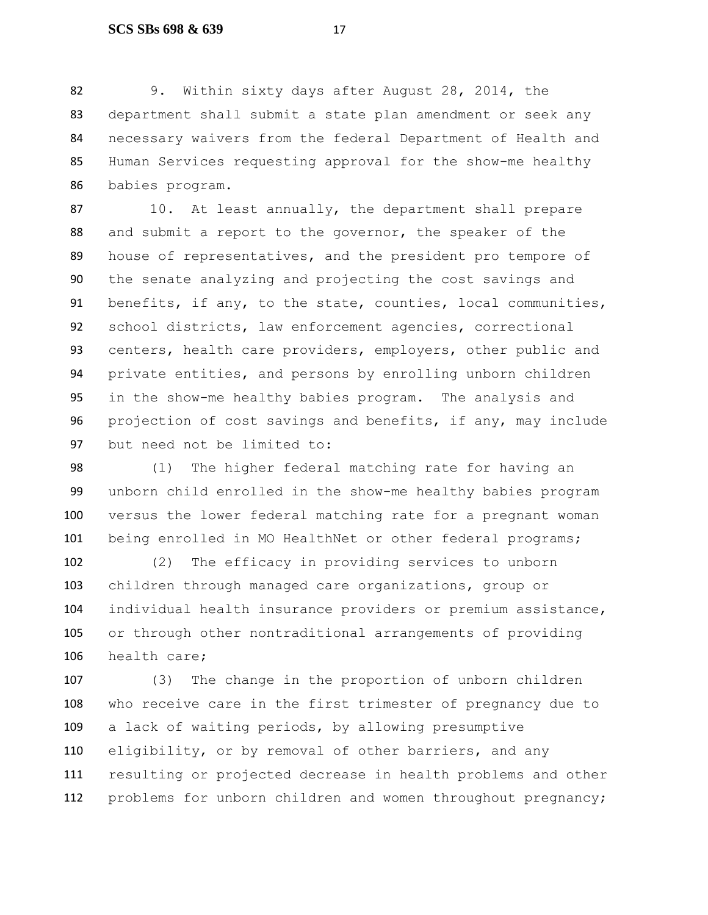9. Within sixty days after August 28, 2014, the department shall submit a state plan amendment or seek any necessary waivers from the federal Department of Health and Human Services requesting approval for the show-me healthy babies program.

87 10. At least annually, the department shall prepare and submit a report to the governor, the speaker of the house of representatives, and the president pro tempore of the senate analyzing and projecting the cost savings and benefits, if any, to the state, counties, local communities, school districts, law enforcement agencies, correctional 93 centers, health care providers, employers, other public and private entities, and persons by enrolling unborn children in the show-me healthy babies program. The analysis and projection of cost savings and benefits, if any, may include but need not be limited to:

 (1) The higher federal matching rate for having an unborn child enrolled in the show-me healthy babies program versus the lower federal matching rate for a pregnant woman 101 being enrolled in MO HealthNet or other federal programs;

 (2) The efficacy in providing services to unborn children through managed care organizations, group or individual health insurance providers or premium assistance, or through other nontraditional arrangements of providing health care;

 (3) The change in the proportion of unborn children who receive care in the first trimester of pregnancy due to a lack of waiting periods, by allowing presumptive eligibility, or by removal of other barriers, and any resulting or projected decrease in health problems and other problems for unborn children and women throughout pregnancy;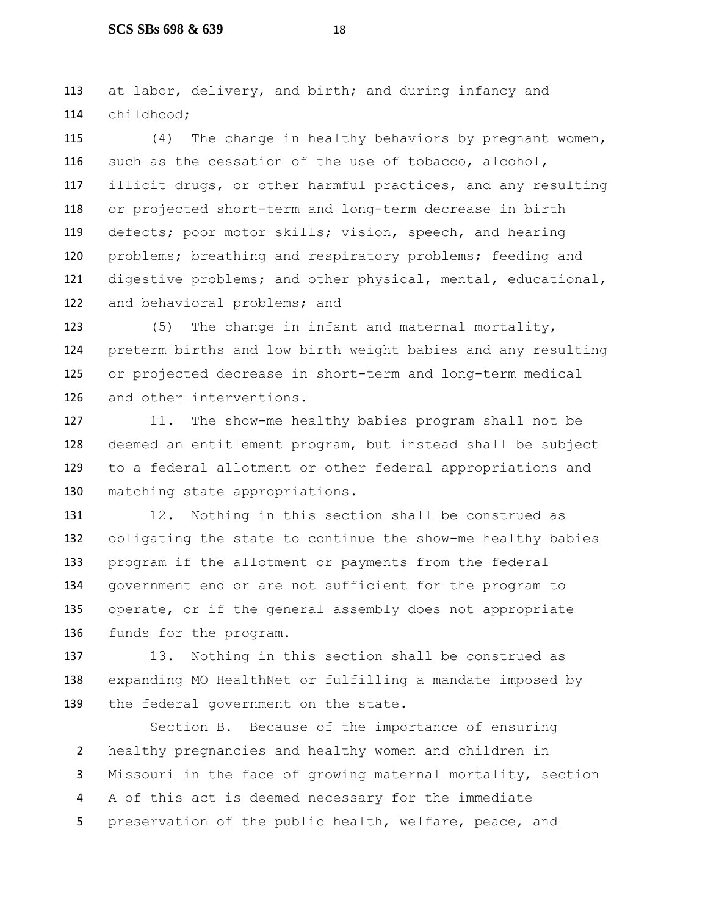at labor, delivery, and birth; and during infancy and childhood;

 (4) The change in healthy behaviors by pregnant women, such as the cessation of the use of tobacco, alcohol, illicit drugs, or other harmful practices, and any resulting or projected short-term and long-term decrease in birth defects; poor motor skills; vision, speech, and hearing problems; breathing and respiratory problems; feeding and digestive problems; and other physical, mental, educational, 122 and behavioral problems; and

 (5) The change in infant and maternal mortality, preterm births and low birth weight babies and any resulting or projected decrease in short-term and long-term medical and other interventions.

 11. The show-me healthy babies program shall not be deemed an entitlement program, but instead shall be subject to a federal allotment or other federal appropriations and matching state appropriations.

 12. Nothing in this section shall be construed as obligating the state to continue the show-me healthy babies program if the allotment or payments from the federal government end or are not sufficient for the program to operate, or if the general assembly does not appropriate funds for the program.

 13. Nothing in this section shall be construed as expanding MO HealthNet or fulfilling a mandate imposed by the federal government on the state.

Section B. Because of the importance of ensuring healthy pregnancies and healthy women and children in Missouri in the face of growing maternal mortality, section A of this act is deemed necessary for the immediate 5 preservation of the public health, welfare, peace, and